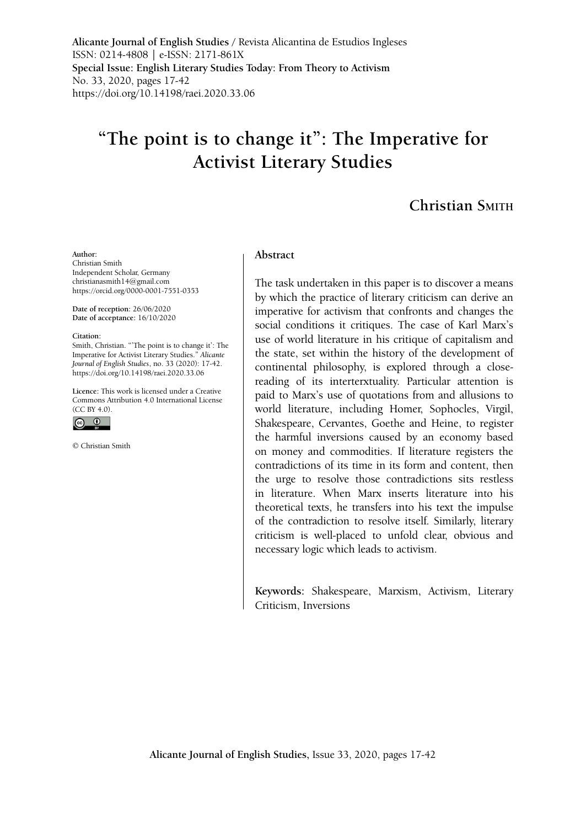**Alicante Journal of English Studies /** Revista Alicantina de Estudios Ingleses ISSN: 0214-4808 | e-ISSN: 2171-861X **Special Issue: English Literary Studies Today: From Theory to Activism** No. 33, 2020, pages 17-42 <https://doi.org/10.14198/raei.2020.33.06>

# **"The point is to change it": The Imperative for Activist Literary Studies**

## **Christian Smith**

#### **Author:**

Christian Smith Independent Scholar, Germany christianasmith14@gmail.com https://orcid.org/0000-0001-7551-0353

**Date of reception:** 26/06/2020 **Date of acceptance:** 16/10/2020

#### **Citation:**

Smith, Christian. "'The point is to change it': The Imperative for Activist Literary Studies." *Alicante Journal of English Studies*, no. 33 (2020): 17-42. [https://doi.org/10.14198/raei.2020.33.06](https://doi.org/10.14198/raei.2020.33.06 )

**Licence:** [This work is licensed under a Creative](https://creativecommons.org/licenses/by/4.0/)  [Commons Attribution 4.0 International License](https://creativecommons.org/licenses/by/4.0/)   $(CC$  BY 4.0).



© Christian Smith

#### **Abstract**

The task undertaken in this paper is to discover a means by which the practice of literary criticism can derive an imperative for activism that confronts and changes the social conditions it critiques. The case of Karl Marx's use of world literature in his critique of capitalism and the state, set within the history of the development of continental philosophy, is explored through a closereading of its interterxtuality. Particular attention is paid to Marx's use of quotations from and allusions to world literature, including Homer, Sophocles, Virgil, Shakespeare, Cervantes, Goethe and Heine, to register the harmful inversions caused by an economy based on money and commodities. If literature registers the contradictions of its time in its form and content, then the urge to resolve those contradictions sits restless in literature. When Marx inserts literature into his theoretical texts, he transfers into his text the impulse of the contradiction to resolve itself. Similarly, literary criticism is well-placed to unfold clear, obvious and necessary logic which leads to activism.

**Keywords:** Shakespeare, Marxism, Activism, Literary Criticism, Inversions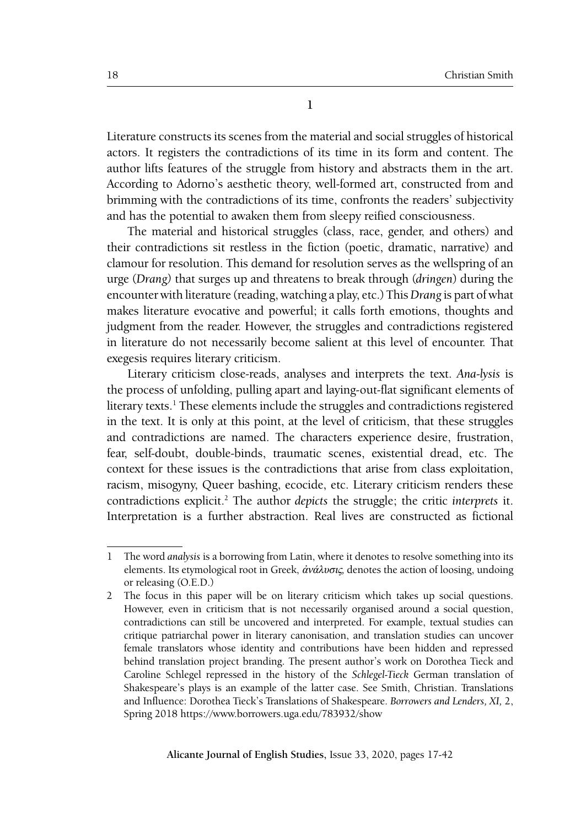**1**

Literature constructs its scenes from the material and social struggles of historical actors. It registers the contradictions of its time in its form and content. The author lifts features of the struggle from history and abstracts them in the art. According to Adorno's aesthetic theory, well-formed art, constructed from and brimming with the contradictions of its time, confronts the readers' subjectivity and has the potential to awaken them from sleepy reified consciousness.

The material and historical struggles (class, race, gender, and others) and their contradictions sit restless in the fiction (poetic, dramatic, narrative) and clamour for resolution. This demand for resolution serves as the wellspring of an urge (*Drang)* that surges up and threatens to break through (*dringen*) during the encounter with literature (reading, watching a play, etc.) This *Drang* is part of what makes literature evocative and powerful; it calls forth emotions, thoughts and judgment from the reader. However, the struggles and contradictions registered in literature do not necessarily become salient at this level of encounter. That exegesis requires literary criticism.

Literary criticism close-reads, analyses and interprets the text. *Ana-lysis* is the process of unfolding, pulling apart and laying-out-flat significant elements of literary texts.<sup>1</sup> These elements include the struggles and contradictions registered in the text. It is only at this point, at the level of criticism, that these struggles and contradictions are named. The characters experience desire, frustration, fear, self-doubt, double-binds, traumatic scenes, existential dread, etc. The context for these issues is the contradictions that arise from class exploitation, racism, misogyny, Queer bashing, ecocide, etc. Literary criticism renders these contradictions explicit.2 The author *depicts* the struggle; the critic *interprets* it. Interpretation is a further abstraction. Real lives are constructed as fictional

<sup>1</sup> The word *analysis* is a borrowing from Latin, where it denotes to resolve something into its elements. Its etymological root in Greek, ἀνάλυσις*,* denotes the action of loosing, undoing or releasing (O.E.D.)

<sup>2</sup> The focus in this paper will be on literary criticism which takes up social questions. However, even in criticism that is not necessarily organised around a social question, contradictions can still be uncovered and interpreted. For example, textual studies can critique patriarchal power in literary canonisation, and translation studies can uncover female translators whose identity and contributions have been hidden and repressed behind translation project branding. The present author's work on Dorothea Tieck and Caroline Schlegel repressed in the history of the *Schlegel-Tieck* German translation of Shakespeare's plays is an example of the latter case. See Smith, Christian. Translations and Influence: Dorothea Tieck's Translations of Shakespeare. *Borrowers and Lenders, XI,* 2, Spring 2018 https://www.borrowers.uga.edu/783932/show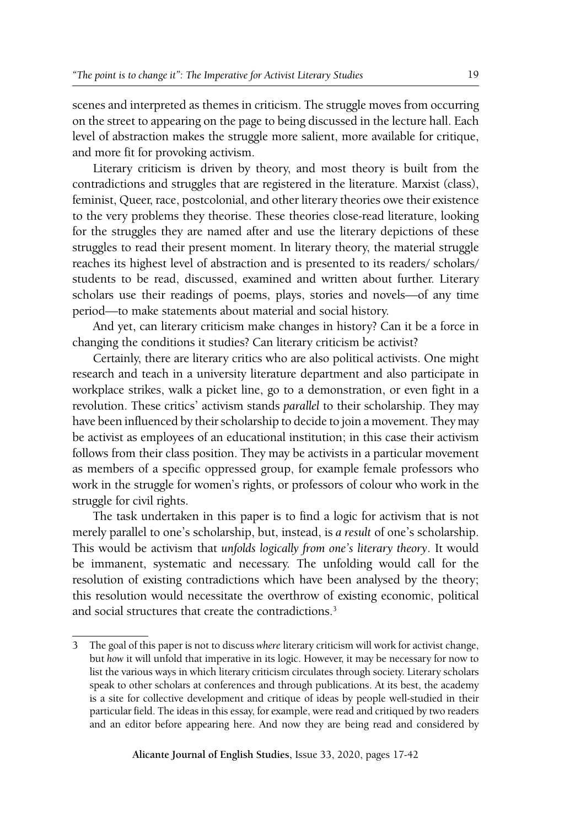scenes and interpreted as themes in criticism. The struggle moves from occurring on the street to appearing on the page to being discussed in the lecture hall. Each level of abstraction makes the struggle more salient, more available for critique, and more fit for provoking activism.

Literary criticism is driven by theory, and most theory is built from the contradictions and struggles that are registered in the literature. Marxist (class), feminist, Queer, race, postcolonial, and other literary theories owe their existence to the very problems they theorise. These theories close-read literature, looking for the struggles they are named after and use the literary depictions of these struggles to read their present moment. In literary theory, the material struggle reaches its highest level of abstraction and is presented to its readers/ scholars/ students to be read, discussed, examined and written about further. Literary scholars use their readings of poems, plays, stories and novels—of any time period—to make statements about material and social history.

And yet, can literary criticism make changes in history? Can it be a force in changing the conditions it studies? Can literary criticism be activist?

Certainly, there are literary critics who are also political activists. One might research and teach in a university literature department and also participate in workplace strikes, walk a picket line, go to a demonstration, or even fight in a revolution. These critics' activism stands *parallel* to their scholarship. They may have been influenced by their scholarship to decide to join a movement. They may be activist as employees of an educational institution; in this case their activism follows from their class position. They may be activists in a particular movement as members of a specific oppressed group, for example female professors who work in the struggle for women's rights, or professors of colour who work in the struggle for civil rights.

The task undertaken in this paper is to find a logic for activism that is not merely parallel to one's scholarship, but, instead, is *a result* of one's scholarship. This would be activism that *unfolds logically from one's literary theory*. It would be immanent, systematic and necessary. The unfolding would call for the resolution of existing contradictions which have been analysed by the theory; this resolution would necessitate the overthrow of existing economic, political and social structures that create the contradictions.<sup>3</sup>

<sup>3</sup> The goal of this paper is not to discuss *where* literary criticism will work for activist change, but *how* it will unfold that imperative in its logic. However, it may be necessary for now to list the various ways in which literary criticism circulates through society. Literary scholars speak to other scholars at conferences and through publications. At its best, the academy is a site for collective development and critique of ideas by people well-studied in their particular field. The ideas in this essay, for example, were read and critiqued by two readers and an editor before appearing here. And now they are being read and considered by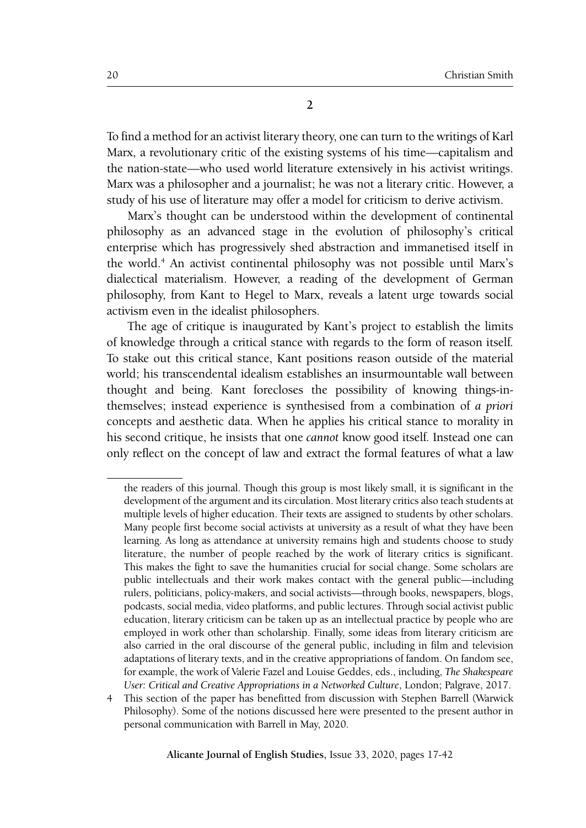To find a method for an activist literary theory, one can turn to the writings of Karl Marx, a revolutionary critic of the existing systems of his time—capitalism and the nation-state—who used world literature extensively in his activist writings. Marx was a philosopher and a journalist; he was not a literary critic. However, a study of his use of literature may offer a model for criticism to derive activism.

Marx's thought can be understood within the development of continental philosophy as an advanced stage in the evolution of philosophy's critical enterprise which has progressively shed abstraction and immanetised itself in the world.4 An activist continental philosophy was not possible until Marx's dialectical materialism. However, a reading of the development of German philosophy, from Kant to Hegel to Marx, reveals a latent urge towards social activism even in the idealist philosophers.

The age of critique is inaugurated by Kant's project to establish the limits of knowledge through a critical stance with regards to the form of reason itself. To stake out this critical stance, Kant positions reason outside of the material world; his transcendental idealism establishes an insurmountable wall between thought and being. Kant forecloses the possibility of knowing things-inthemselves; instead experience is synthesised from a combination of *a priori* concepts and aesthetic data. When he applies his critical stance to morality in his second critique, he insists that one *cannot* know good itself. Instead one can only reflect on the concept of law and extract the formal features of what a law

the readers of this journal. Though this group is most likely small, it is significant in the development of the argument and its circulation. Most literary critics also teach students at multiple levels of higher education. Their texts are assigned to students by other scholars. Many people first become social activists at university as a result of what they have been learning. As long as attendance at university remains high and students choose to study literature, the number of people reached by the work of literary critics is significant. This makes the fight to save the humanities crucial for social change. Some scholars are public intellectuals and their work makes contact with the general public—including rulers, politicians, policy-makers, and social activists—through books, newspapers, blogs, podcasts, social media, video platforms, and public lectures. Through social activist public education, literary criticism can be taken up as an intellectual practice by people who are employed in work other than scholarship. Finally, some ideas from literary criticism are also carried in the oral discourse of the general public, including in film and television adaptations of literary texts, and in the creative appropriations of fandom. On fandom see, for example, the work of Valerie Fazel and Louise Geddes, eds., including, *The Shakespeare User: Critical and Creative Appropriations in a Networked Culture*, London; Palgrave, 2017.

<sup>4</sup> This section of the paper has benefitted from discussion with Stephen Barrell (Warwick Philosophy). Some of the notions discussed here were presented to the present author in personal communication with Barrell in May, 2020.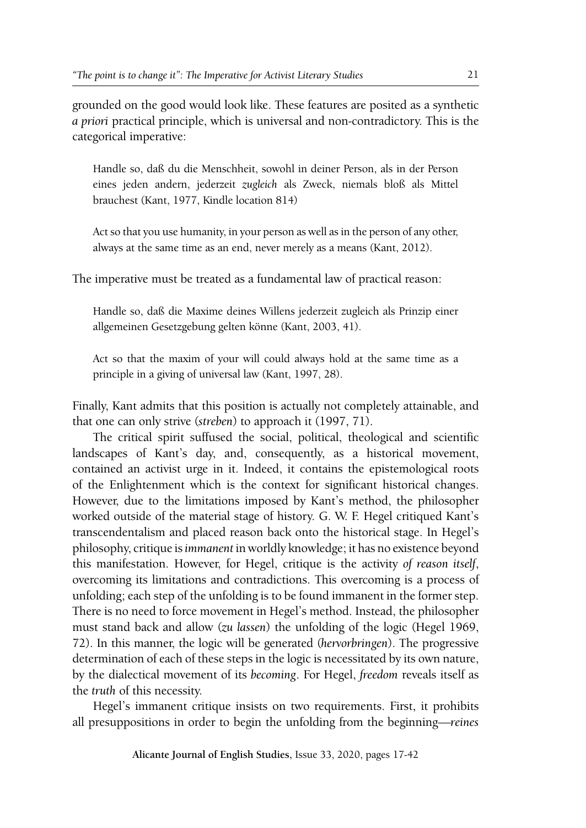grounded on the good would look like. These features are posited as a synthetic *a priori* practical principle, which is universal and non-contradictory. This is the categorical imperative:

Handle so, daß du die Menschheit, sowohl in deiner Person, als in der Person eines jeden andern, jederzeit *zugleich* als Zweck, niemals bloß als Mittel brauchest (Kant, 1977, Kindle location 814)

Act so that you use humanity, in your person as well as in the person of any other, always at the same time as an end, never merely as a means (Kant, 2012).

The imperative must be treated as a fundamental law of practical reason:

Handle so, daß die Maxime deines Willens jederzeit zugleich als Prinzip einer allgemeinen Gesetzgebung gelten könne (Kant, 2003, 41).

Act so that the maxim of your will could always hold at the same time as a principle in a giving of universal law (Kant, 1997, 28).

Finally, Kant admits that this position is actually not completely attainable, and that one can only strive (*streben*) to approach it (1997, 71).

The critical spirit suffused the social, political, theological and scientific landscapes of Kant's day, and, consequently, as a historical movement, contained an activist urge in it. Indeed, it contains the epistemological roots of the Enlightenment which is the context for significant historical changes. However, due to the limitations imposed by Kant's method, the philosopher worked outside of the material stage of history. G. W. F. Hegel critiqued Kant's transcendentalism and placed reason back onto the historical stage. In Hegel's philosophy, critique is *immanent* in worldly knowledge; it has no existence beyond this manifestation. However, for Hegel, critique is the activity *of reason itself*, overcoming its limitations and contradictions. This overcoming is a process of unfolding; each step of the unfolding is to be found immanent in the former step. There is no need to force movement in Hegel's method. Instead, the philosopher must stand back and allow (*zu lassen*) the unfolding of the logic (Hegel 1969, 72). In this manner, the logic will be generated (*hervorbringen*). The progressive determination of each of these steps in the logic is necessitated by its own nature, by the dialectical movement of its *becoming*. For Hegel, *freedom* reveals itself as the *truth* of this necessity.

Hegel's immanent critique insists on two requirements. First, it prohibits all presuppositions in order to begin the unfolding from the beginning—*reines*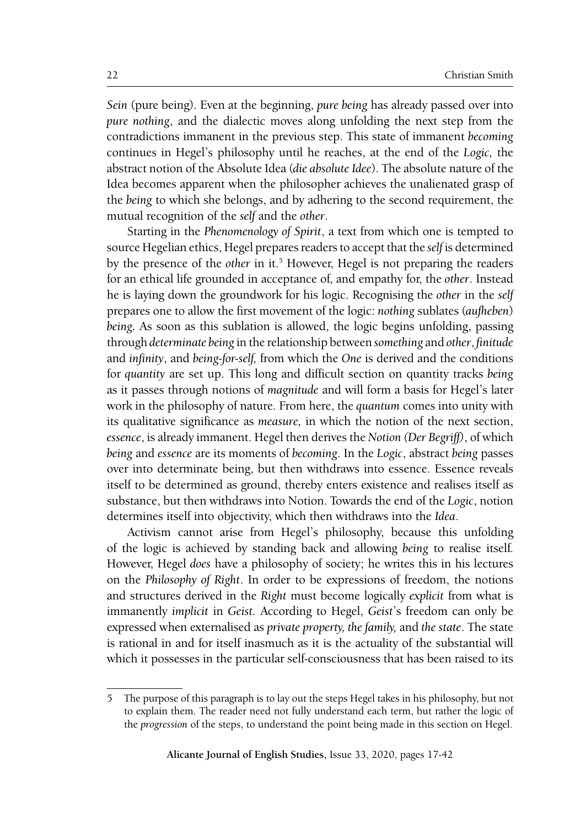*Sein* (pure being). Even at the beginning, *pure being* has already passed over into *pure nothing*, and the dialectic moves along unfolding the next step from the contradictions immanent in the previous step. This state of immanent *becoming* continues in Hegel's philosophy until he reaches, at the end of the *Logic,* the abstract notion of the Absolute Idea (*die absolute Idee*). The absolute nature of the Idea becomes apparent when the philosopher achieves the unalienated grasp of the *being* to which she belongs, and by adhering to the second requirement, the mutual recognition of the *self* and the *other*.

Starting in the *Phenomenology of Spirit*, a text from which one is tempted to source Hegelian ethics, Hegel prepares readers to accept that the *self* is determined by the presence of the *other* in it.<sup>5</sup> However, Hegel is not preparing the readers for an ethical life grounded in acceptance of, and empathy for, the *other*. Instead he is laying down the groundwork for his logic. Recognising the *other* in the *self*  prepares one to allow the first movement of the logic: *nothing* sublates (*aufheben*) *being.* As soon as this sublation is allowed, the logic begins unfolding, passing through *determinate being* in the relationship between *something* and *other*, *finitude* and *infinity*, and *being-for-self,* from which the *One* is derived and the conditions for *quantity* are set up. This long and difficult section on quantity tracks *being* as it passes through notions of *magnitude* and will form a basis for Hegel's later work in the philosophy of nature. From here, the *quantum* comes into unity with its qualitative significance as *measure,* in which the notion of the next section, *essence*, is already immanent. Hegel then derives the *Notion (Der Begriff)*, of which *being* and *essence* are its moments of *becoming*. In the *Logic*, abstract *being* passes over into determinate being, but then withdraws into essence. Essence reveals itself to be determined as ground, thereby enters existence and realises itself as substance, but then withdraws into Notion. Towards the end of the *Logic*, notion determines itself into objectivity, which then withdraws into the *Idea*.

Activism cannot arise from Hegel's philosophy, because this unfolding of the logic is achieved by standing back and allowing *being* to realise itself. However, Hegel *does* have a philosophy of society; he writes this in his lectures on the *Philosophy of Right*. In order to be expressions of freedom, the notions and structures derived in the *Right* must become logically *explicit* from what is immanently *implicit* in *Geist.* According to Hegel, *Geist*'s freedom can only be expressed when externalised as *private property, the family,* and *the state*. The state is rational in and for itself inasmuch as it is the actuality of the substantial will which it possesses in the particular self-consciousness that has been raised to its

<sup>5</sup> The purpose of this paragraph is to lay out the steps Hegel takes in his philosophy, but not to explain them. The reader need not fully understand each term, but rather the logic of the *progression* of the steps, to understand the point being made in this section on Hegel.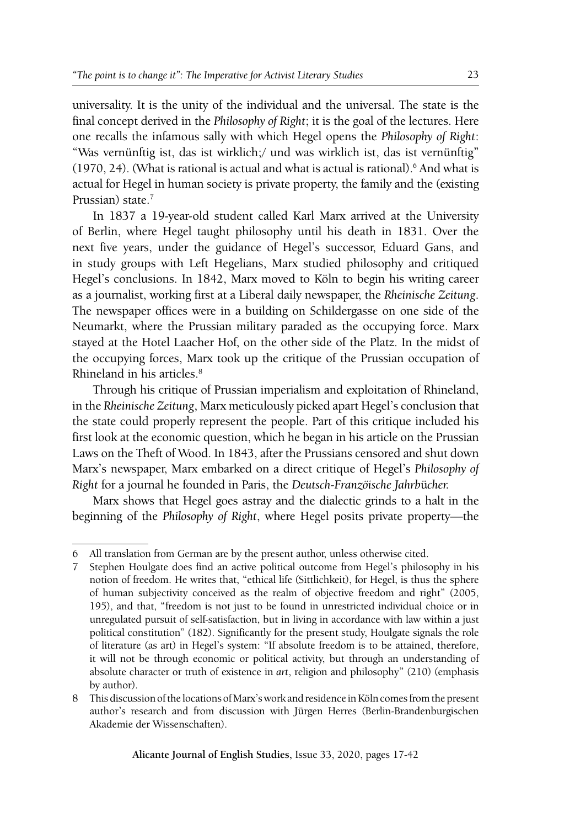universality. It is the unity of the individual and the universal. The state is the final concept derived in the *Philosophy of Right*; it is the goal of the lectures. Here one recalls the infamous sally with which Hegel opens the *Philosophy of Right*: "Was vernünftig ist, das ist wirklich;/ und was wirklich ist, das ist vernünftig"  $(1970, 24)$ . (What is rational is actual and what is actual is rational).<sup>6</sup> And what is actual for Hegel in human society is private property, the family and the (existing Prussian) state.<sup>7</sup>

In 1837 a 19-year-old student called Karl Marx arrived at the University of Berlin, where Hegel taught philosophy until his death in 1831. Over the next five years, under the guidance of Hegel's successor, Eduard Gans, and in study groups with Left Hegelians, Marx studied philosophy and critiqued Hegel's conclusions. In 1842, Marx moved to Köln to begin his writing career as a journalist, working first at a Liberal daily newspaper, the *Rheinische Zeitung*. The newspaper offices were in a building on Schildergasse on one side of the Neumarkt, where the Prussian military paraded as the occupying force. Marx stayed at the Hotel Laacher Hof, on the other side of the Platz. In the midst of the occupying forces, Marx took up the critique of the Prussian occupation of Rhineland in his articles.<sup>8</sup>

Through his critique of Prussian imperialism and exploitation of Rhineland, in the *Rheinische Zeitung*, Marx meticulously picked apart Hegel's conclusion that the state could properly represent the people. Part of this critique included his first look at the economic question, which he began in his article on the Prussian Laws on the Theft of Wood. In 1843, after the Prussians censored and shut down Marx's newspaper, Marx embarked on a direct critique of Hegel's *Philosophy of Right* for a journal he founded in Paris, the *Deutsch-Franzöische Jahrb*ü*cher.*

Marx shows that Hegel goes astray and the dialectic grinds to a halt in the beginning of the *Philosophy of Right*, where Hegel posits private property—the

<sup>6</sup> All translation from German are by the present author, unless otherwise cited.

<sup>7</sup> Stephen Houlgate does find an active political outcome from Hegel's philosophy in his notion of freedom. He writes that, "ethical life (Sittlichkeit), for Hegel, is thus the sphere of human subjectivity conceived as the realm of objective freedom and right" (2005, 195), and that, "freedom is not just to be found in unrestricted individual choice or in unregulated pursuit of self-satisfaction, but in living in accordance with law within a just political constitution" (182). Significantly for the present study, Houlgate signals the role of literature (as art) in Hegel's system: "If absolute freedom is to be attained, therefore, it will not be through economic or political activity, but through an understanding of absolute character or truth of existence in *art*, religion and philosophy" (210) (emphasis by author).

<sup>8</sup> This discussion of the locations of Marx's work and residence in Köln comes from the present author's research and from discussion with Jürgen Herres (Berlin-Brandenburgischen Akademie der Wissenschaften).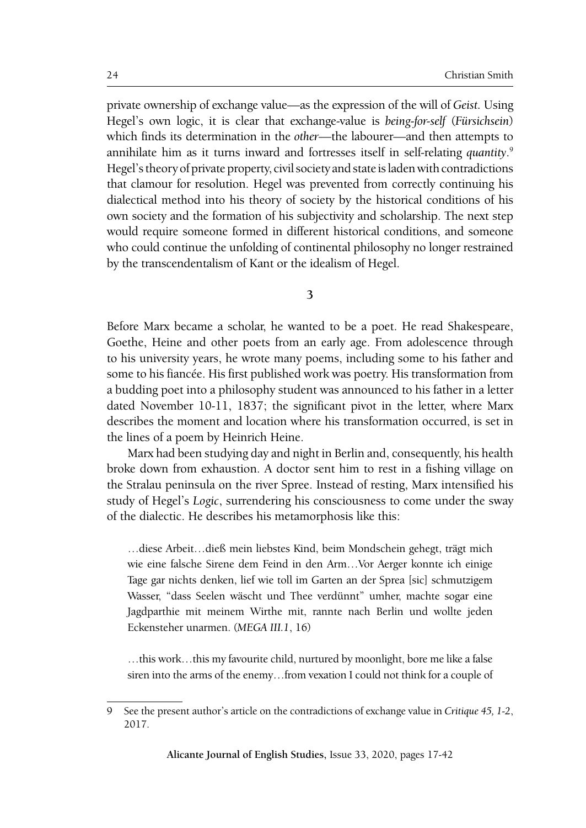private ownership of exchange value—as the expression of the will of *Geist.* Using Hegel's own logic, it is clear that exchange-value is *being-for-self* (*Fürsichsein*) which finds its determination in the *other*—the labourer—and then attempts to annihilate him as it turns inward and fortresses itself in self-relating *quantity*. 9 Hegel's theory of private property, civil society and state is laden with contradictions that clamour for resolution. Hegel was prevented from correctly continuing his dialectical method into his theory of society by the historical conditions of his own society and the formation of his subjectivity and scholarship. The next step would require someone formed in different historical conditions, and someone who could continue the unfolding of continental philosophy no longer restrained by the transcendentalism of Kant or the idealism of Hegel.

**3**

Before Marx became a scholar, he wanted to be a poet. He read Shakespeare, Goethe, Heine and other poets from an early age. From adolescence through to his university years, he wrote many poems, including some to his father and some to his fiancée. His first published work was poetry. His transformation from a budding poet into a philosophy student was announced to his father in a letter dated November 10-11, 1837; the significant pivot in the letter, where Marx describes the moment and location where his transformation occurred, is set in the lines of a poem by Heinrich Heine.

Marx had been studying day and night in Berlin and, consequently, his health broke down from exhaustion. A doctor sent him to rest in a fishing village on the Stralau peninsula on the river Spree. Instead of resting, Marx intensified his study of Hegel's *Logic*, surrendering his consciousness to come under the sway of the dialectic. He describes his metamorphosis like this:

…diese Arbeit…dieß mein liebstes Kind, beim Mondschein gehegt, trägt mich wie eine falsche Sirene dem Feind in den Arm…Vor Aerger konnte ich einige Tage gar nichts denken, lief wie toll im Garten an der Sprea [sic] schmutzigem Wasser, "dass Seelen wäscht und Thee verdünnt" umher, machte sogar eine Jagdparthie mit meinem Wirthe mit, rannte nach Berlin und wollte jeden Eckensteher unarmen. (*MEGA III.1*, 16)

…this work…this my favourite child, nurtured by moonlight, bore me like a false siren into the arms of the enemy…from vexation I could not think for a couple of

<sup>9</sup> See the present author's article on the contradictions of exchange value in *Critique 45, 1-2*, 2017.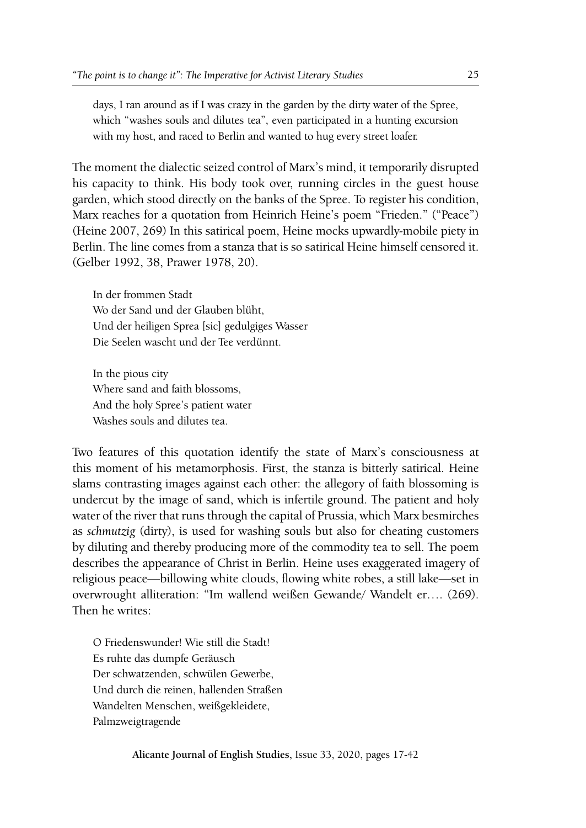days, I ran around as if I was crazy in the garden by the dirty water of the Spree, which "washes souls and dilutes tea", even participated in a hunting excursion with my host, and raced to Berlin and wanted to hug every street loafer.

The moment the dialectic seized control of Marx's mind, it temporarily disrupted his capacity to think. His body took over, running circles in the guest house garden, which stood directly on the banks of the Spree. To register his condition, Marx reaches for a quotation from Heinrich Heine's poem "Frieden." ("Peace") (Heine 2007, 269) In this satirical poem, Heine mocks upwardly-mobile piety in Berlin. The line comes from a stanza that is so satirical Heine himself censored it. (Gelber 1992, 38, Prawer 1978, 20).

In der frommen Stadt Wo der Sand und der Glauben blüht, Und der heiligen Sprea [sic] gedulgiges Wasser Die Seelen wascht und der Tee verdünnt.

In the pious city Where sand and faith blossoms, And the holy Spree's patient water Washes souls and dilutes tea.

Two features of this quotation identify the state of Marx's consciousness at this moment of his metamorphosis. First, the stanza is bitterly satirical. Heine slams contrasting images against each other: the allegory of faith blossoming is undercut by the image of sand, which is infertile ground. The patient and holy water of the river that runs through the capital of Prussia, which Marx besmirches as *schmutzig* (dirty), is used for washing souls but also for cheating customers by diluting and thereby producing more of the commodity tea to sell. The poem describes the appearance of Christ in Berlin. Heine uses exaggerated imagery of religious peace—billowing white clouds, flowing white robes, a still lake—set in overwrought alliteration: "Im wallend weißen Gewande/ Wandelt er…. (269). Then he writes:

O Friedenswunder! Wie still die Stadt! Es ruhte das dumpfe Geräusch Der schwatzenden, schwülen Gewerbe, Und durch die reinen, hallenden Straßen Wandelten Menschen, weißgekleidete, Palmzweigtragende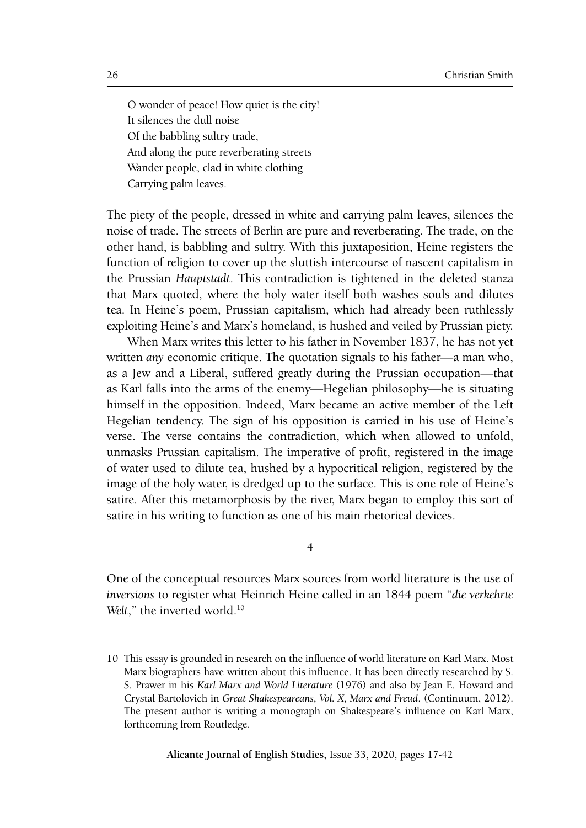O wonder of peace! How quiet is the city! It silences the dull noise Of the babbling sultry trade, And along the pure reverberating streets Wander people, clad in white clothing Carrying palm leaves.

The piety of the people, dressed in white and carrying palm leaves, silences the noise of trade. The streets of Berlin are pure and reverberating. The trade, on the other hand, is babbling and sultry. With this juxtaposition, Heine registers the function of religion to cover up the sluttish intercourse of nascent capitalism in the Prussian *Hauptstadt*. This contradiction is tightened in the deleted stanza that Marx quoted, where the holy water itself both washes souls and dilutes tea. In Heine's poem, Prussian capitalism, which had already been ruthlessly exploiting Heine's and Marx's homeland, is hushed and veiled by Prussian piety.

When Marx writes this letter to his father in November 1837, he has not yet written *any* economic critique. The quotation signals to his father—a man who, as a Jew and a Liberal, suffered greatly during the Prussian occupation—that as Karl falls into the arms of the enemy—Hegelian philosophy—he is situating himself in the opposition. Indeed, Marx became an active member of the Left Hegelian tendency. The sign of his opposition is carried in his use of Heine's verse. The verse contains the contradiction, which when allowed to unfold, unmasks Prussian capitalism. The imperative of profit, registered in the image of water used to dilute tea, hushed by a hypocritical religion, registered by the image of the holy water, is dredged up to the surface. This is one role of Heine's satire. After this metamorphosis by the river, Marx began to employ this sort of satire in his writing to function as one of his main rhetorical devices.

**4**

One of the conceptual resources Marx sources from world literature is the use of *inversions* to register what Heinrich Heine called in an 1844 poem "*die verkehrte*  Welt," the inverted world.<sup>10</sup>

<sup>10</sup> This essay is grounded in research on the influence of world literature on Karl Marx. Most Marx biographers have written about this influence. It has been directly researched by S. S. Prawer in his *Karl Marx and World Literature* (1976) and also by Jean E. Howard and Crystal Bartolovich in *Great Shakespeareans, Vol. X, Marx and Freud*, (Continuum, 2012). The present author is writing a monograph on Shakespeare's influence on Karl Marx, forthcoming from Routledge.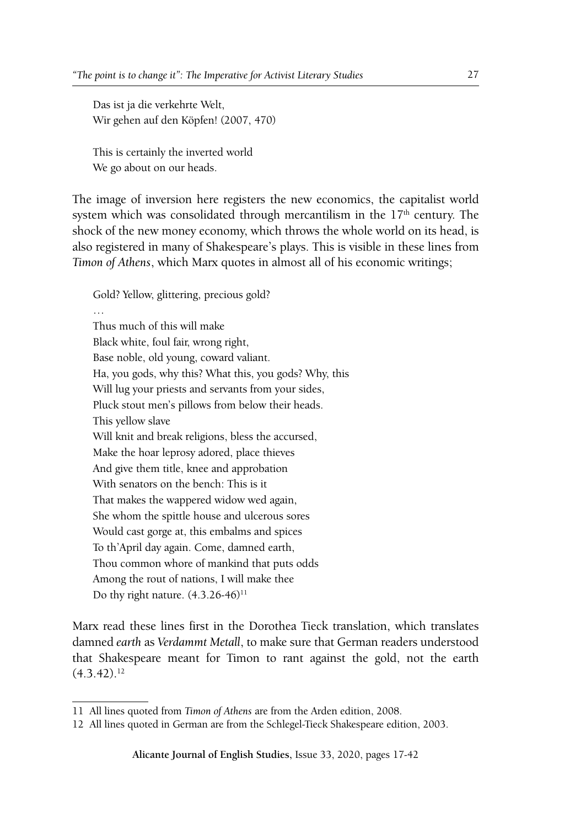Das ist ja die verkehrte Welt, Wir gehen auf den Köpfen! (2007, 470)

This is certainly the inverted world We go about on our heads.

The image of inversion here registers the new economics, the capitalist world system which was consolidated through mercantilism in the 17<sup>th</sup> century. The shock of the new money economy, which throws the whole world on its head, is also registered in many of Shakespeare's plays. This is visible in these lines from *Timon of Athens*, which Marx quotes in almost all of his economic writings;

Gold? Yellow, glittering, precious gold?

Thus much of this will make Black white, foul fair, wrong right, Base noble, old young, coward valiant. Ha, you gods, why this? What this, you gods? Why, this Will lug your priests and servants from your sides, Pluck stout men's pillows from below their heads. This yellow slave Will knit and break religions, bless the accursed, Make the hoar leprosy adored, place thieves And give them title, knee and approbation With senators on the bench: This is it That makes the wappered widow wed again, She whom the spittle house and ulcerous sores Would cast gorge at, this embalms and spices To th'April day again. Come, damned earth, Thou common whore of mankind that puts odds Among the rout of nations, I will make thee Do thy right nature.  $(4.3.26-46)^{11}$ 

Marx read these lines first in the Dorothea Tieck translation, which translates damned *earth* as *Verdammt Metall*, to make sure that German readers understood that Shakespeare meant for Timon to rant against the gold, not the earth  $(4.3.42).^{12}$ 

<sup>11</sup> All lines quoted from *Timon of Athens* are from the Arden edition, 2008.

<sup>12</sup> All lines quoted in German are from the Schlegel-Tieck Shakespeare edition, 2003.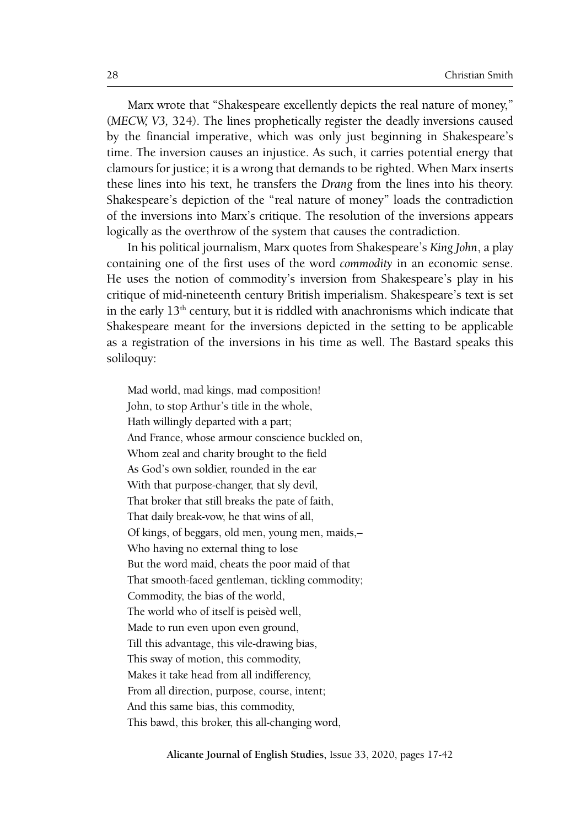Marx wrote that "Shakespeare excellently depicts the real nature of money," (*MECW, V3,* 324). The lines prophetically register the deadly inversions caused by the financial imperative, which was only just beginning in Shakespeare's time. The inversion causes an injustice. As such, it carries potential energy that clamours for justice; it is a wrong that demands to be righted. When Marx inserts these lines into his text, he transfers the *Drang* from the lines into his theory. Shakespeare's depiction of the "real nature of money" loads the contradiction of the inversions into Marx's critique. The resolution of the inversions appears logically as the overthrow of the system that causes the contradiction.

In his political journalism, Marx quotes from Shakespeare's *King John*, a play containing one of the first uses of the word *commodity* in an economic sense. He uses the notion of commodity's inversion from Shakespeare's play in his critique of mid-nineteenth century British imperialism. Shakespeare's text is set in the early  $13<sup>th</sup>$  century, but it is riddled with anachronisms which indicate that Shakespeare meant for the inversions depicted in the setting to be applicable as a registration of the inversions in his time as well. The Bastard speaks this soliloquy:

Mad world, mad kings, mad composition! John, to stop Arthur's title in the whole, Hath willingly departed with a part; And France, whose armour conscience buckled on, Whom zeal and charity brought to the field As God's own soldier, rounded in the ear With that purpose-changer, that sly devil, That broker that still breaks the pate of faith, That daily break-vow, he that wins of all, Of kings, of beggars, old men, young men, maids,– Who having no external thing to lose But the word maid, cheats the poor maid of that That smooth-faced gentleman, tickling commodity; Commodity, the bias of the world, The world who of itself is peisèd well, Made to run even upon even ground, Till this advantage, this vile-drawing bias, This sway of motion, this commodity, Makes it take head from all indifferency, From all direction, purpose, course, intent; And this same bias, this commodity, This bawd, this broker, this all-changing word,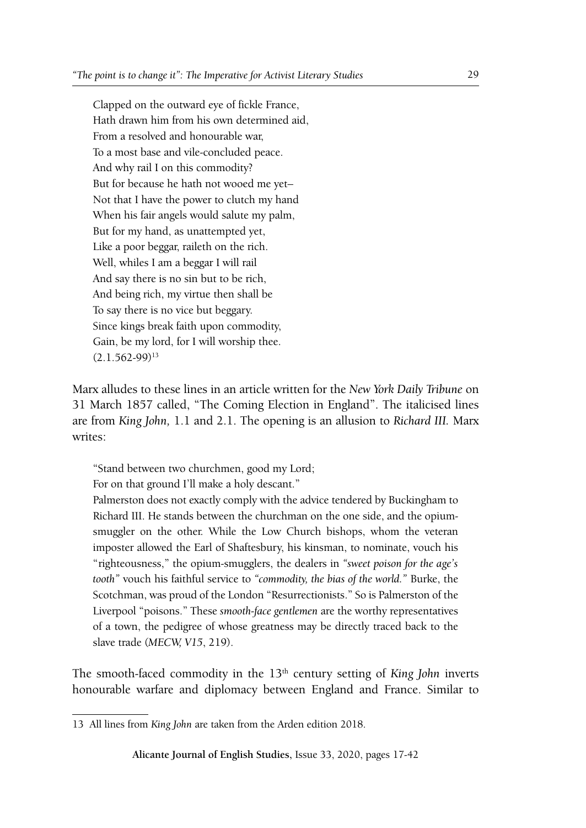Clapped on the outward eye of fickle France, Hath drawn him from his own determined aid, From a resolved and honourable war, To a most base and vile-concluded peace. And why rail I on this commodity? But for because he hath not wooed me yet– Not that I have the power to clutch my hand When his fair angels would salute my palm, But for my hand, as unattempted yet, Like a poor beggar, raileth on the rich. Well, whiles I am a beggar I will rail And say there is no sin but to be rich, And being rich, my virtue then shall be To say there is no vice but beggary. Since kings break faith upon commodity, Gain, be my lord, for I will worship thee.  $(2.1.562 - 99)^{13}$ 

Marx alludes to these lines in an article written for the *New York Daily Tribune* on 31 March 1857 called, "The Coming Election in England". The italicised lines are from *King John,* 1.1 and 2.1. The opening is an allusion to *Richard III.* Marx writes:

"Stand between two churchmen, good my Lord;

For on that ground I'll make a holy descant."

Palmerston does not exactly comply with the advice tendered by Buckingham to Richard III. He stands between the churchman on the one side, and the opiumsmuggler on the other. While the Low Church bishops, whom the veteran imposter allowed the Earl of Shaftesbury, his kinsman, to nominate, vouch his "righteousness," the opium-smugglers, the dealers in *"sweet poison for the age's tooth"* vouch his faithful service to *"commodity, the bias of the world."* Burke, the Scotchman, was proud of the London "Resurrectionists." So is Palmerston of the Liverpool "poisons." These *smooth-face gentlemen* are the worthy representatives of a town, the pedigree of whose greatness may be directly traced back to the slave trade (*MECW, V15*, 219).

The smooth-faced commodity in the 13<sup>th</sup> century setting of *King John* inverts honourable warfare and diplomacy between England and France. Similar to

<sup>13</sup> All lines from *King John* are taken from the Arden edition 2018.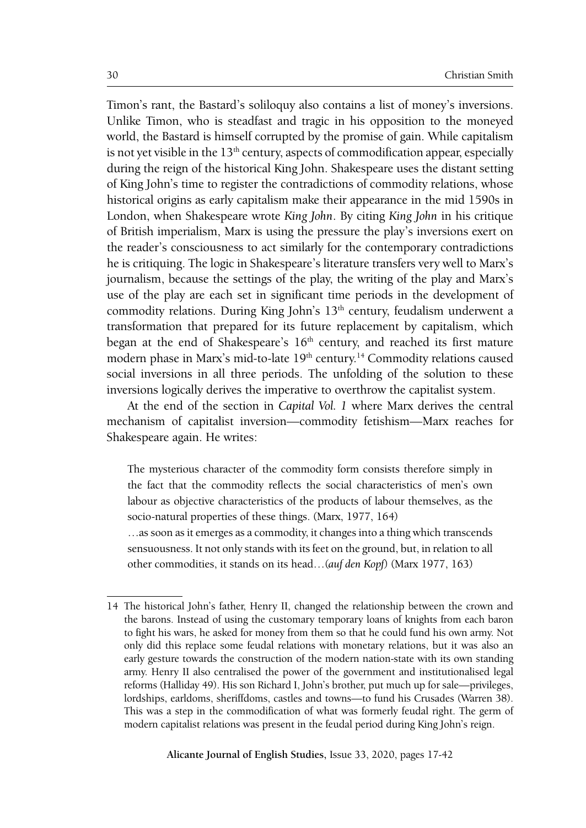Timon's rant, the Bastard's soliloquy also contains a list of money's inversions. Unlike Timon, who is steadfast and tragic in his opposition to the moneyed world, the Bastard is himself corrupted by the promise of gain. While capitalism is not yet visible in the  $13<sup>th</sup>$  century, aspects of commodification appear, especially during the reign of the historical King John. Shakespeare uses the distant setting of King John's time to register the contradictions of commodity relations, whose historical origins as early capitalism make their appearance in the mid 1590s in London, when Shakespeare wrote *King John*. By citing *King John* in his critique of British imperialism, Marx is using the pressure the play's inversions exert on the reader's consciousness to act similarly for the contemporary contradictions he is critiquing. The logic in Shakespeare's literature transfers very well to Marx's journalism, because the settings of the play, the writing of the play and Marx's use of the play are each set in significant time periods in the development of commodity relations. During King John's 13<sup>th</sup> century, feudalism underwent a transformation that prepared for its future replacement by capitalism, which began at the end of Shakespeare's  $16<sup>th</sup>$  century, and reached its first mature modern phase in Marx's mid-to-late 19<sup>th</sup> century.<sup>14</sup> Commodity relations caused social inversions in all three periods. The unfolding of the solution to these inversions logically derives the imperative to overthrow the capitalist system.

At the end of the section in *Capital Vol. 1* where Marx derives the central mechanism of capitalist inversion—commodity fetishism—Marx reaches for Shakespeare again. He writes:

The mysterious character of the commodity form consists therefore simply in the fact that the commodity reflects the social characteristics of men's own labour as objective characteristics of the products of labour themselves, as the socio-natural properties of these things. (Marx, 1977, 164)

…as soon as it emerges as a commodity, it changes into a thing which transcends sensuousness. It not only stands with its feet on the ground, but, in relation to all other commodities, it stands on its head…(*auf den Kopf*) (Marx 1977, 163)

<sup>14</sup> The historical John's father, Henry II, changed the relationship between the crown and the barons. Instead of using the customary temporary loans of knights from each baron to fight his wars, he asked for money from them so that he could fund his own army. Not only did this replace some feudal relations with monetary relations, but it was also an early gesture towards the construction of the modern nation-state with its own standing army. Henry II also centralised the power of the government and institutionalised legal reforms (Halliday 49). His son Richard I, John's brother, put much up for sale—privileges, lordships, earldoms, sheriffdoms, castles and towns—to fund his Crusades (Warren 38). This was a step in the commodification of what was formerly feudal right. The germ of modern capitalist relations was present in the feudal period during King John's reign.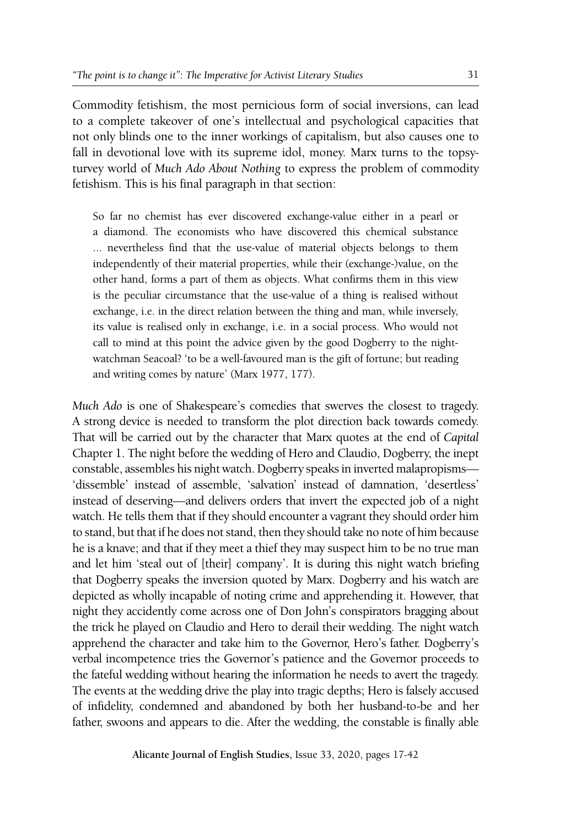Commodity fetishism, the most pernicious form of social inversions, can lead to a complete takeover of one's intellectual and psychological capacities that not only blinds one to the inner workings of capitalism, but also causes one to fall in devotional love with its supreme idol, money. Marx turns to the topsyturvey world of *Much Ado About Nothing* to express the problem of commodity fetishism. This is his final paragraph in that section:

So far no chemist has ever discovered exchange-value either in a pearl or a diamond. The economists who have discovered this chemical substance ... nevertheless find that the use-value of material objects belongs to them independently of their material properties, while their (exchange-)value, on the other hand, forms a part of them as objects. What confirms them in this view is the peculiar circumstance that the use-value of a thing is realised without exchange, i.e. in the direct relation between the thing and man, while inversely, its value is realised only in exchange, i.e. in a social process. Who would not call to mind at this point the advice given by the good Dogberry to the nightwatchman Seacoal? 'to be a well-favoured man is the gift of fortune; but reading and writing comes by nature' (Marx 1977, 177).

*Much Ado* is one of Shakespeare's comedies that swerves the closest to tragedy. A strong device is needed to transform the plot direction back towards comedy. That will be carried out by the character that Marx quotes at the end of *Capital* Chapter 1. The night before the wedding of Hero and Claudio, Dogberry, the inept constable, assembles his night watch.Dogberry speaks in inverted malapropisms— 'dissemble' instead of assemble, 'salvation' instead of damnation, 'desertless' instead of deserving—and delivers orders that invert the expected job of a night watch. He tells them that if they should encounter a vagrant they should order him to stand, but that if he does not stand, then they should take no note of him because he is a knave; and that if they meet a thief they may suspect him to be no true man and let him 'steal out of [their] company'. It is during this night watch briefing that Dogberry speaks the inversion quoted by Marx. Dogberry and his watch are depicted as wholly incapable of noting crime and apprehending it. However, that night they accidently come across one of Don John's conspirators bragging about the trick he played on Claudio and Hero to derail their wedding. The night watch apprehend the character and take him to the Governor, Hero's father. Dogberry's verbal incompetence tries the Governor's patience and the Governor proceeds to the fateful wedding without hearing the information he needs to avert the tragedy. The events at the wedding drive the play into tragic depths; Hero is falsely accused of infidelity, condemned and abandoned by both her husband-to-be and her father, swoons and appears to die. After the wedding, the constable is finally able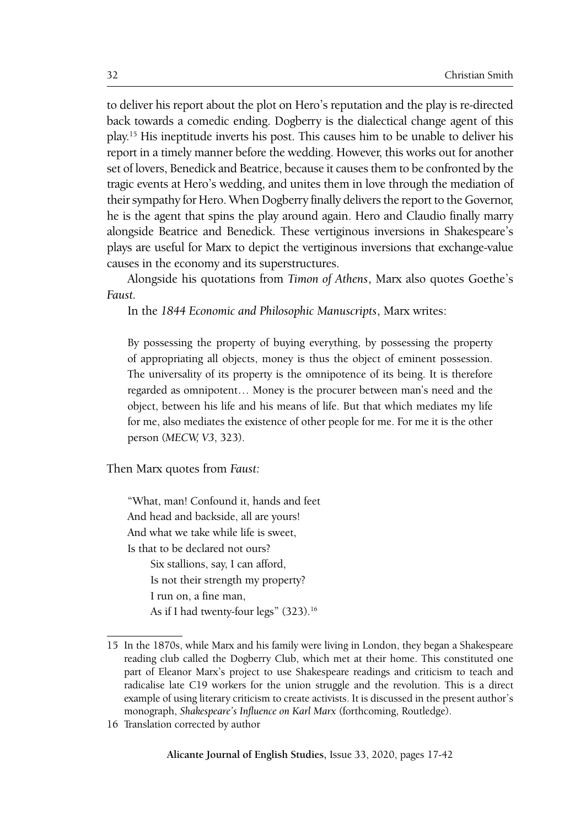to deliver his report about the plot on Hero's reputation and the play is re-directed back towards a comedic ending. Dogberry is the dialectical change agent of this play.15 His ineptitude inverts his post. This causes him to be unable to deliver his report in a timely manner before the wedding. However, this works out for another set of lovers, Benedick and Beatrice, because it causes them to be confronted by the tragic events at Hero's wedding, and unites them in love through the mediation of their sympathy for Hero. When Dogberry finally delivers the report to the Governor, he is the agent that spins the play around again. Hero and Claudio finally marry alongside Beatrice and Benedick. These vertiginous inversions in Shakespeare's plays are useful for Marx to depict the vertiginous inversions that exchange-value causes in the economy and its superstructures.

Alongside his quotations from *Timon of Athens*, Marx also quotes Goethe's *Faust.*

In the *1844 Economic and Philosophic Manuscripts*, Marx writes:

By possessing the property of buying everything, by possessing the property of appropriating all objects, money is thus the object of eminent possession. The universality of its property is the omnipotence of its being. It is therefore regarded as omnipotent… Money is the procurer between man's need and the object, between his life and his means of life. But that which mediates my life for me, also mediates the existence of other people for me. For me it is the other person (*MECW, V3*, 323).

Then Marx quotes from *Faust:*

"What, man! Confound it, hands and feet And head and backside, all are yours! And what we take while life is sweet, Is that to be declared not ours?

Six stallions, say, I can afford, Is not their strength my property? I run on, a fine man, As if I had twenty-four legs" (323).<sup>16</sup>

16 Translation corrected by author

<sup>15</sup> In the 1870s, while Marx and his family were living in London, they began a Shakespeare reading club called the Dogberry Club, which met at their home. This constituted one part of Eleanor Marx's project to use Shakespeare readings and criticism to teach and radicalise late C19 workers for the union struggle and the revolution. This is a direct example of using literary criticism to create activists. It is discussed in the present author's monograph, *Shakespeare's Influence on Karl Marx* (forthcoming, Routledge).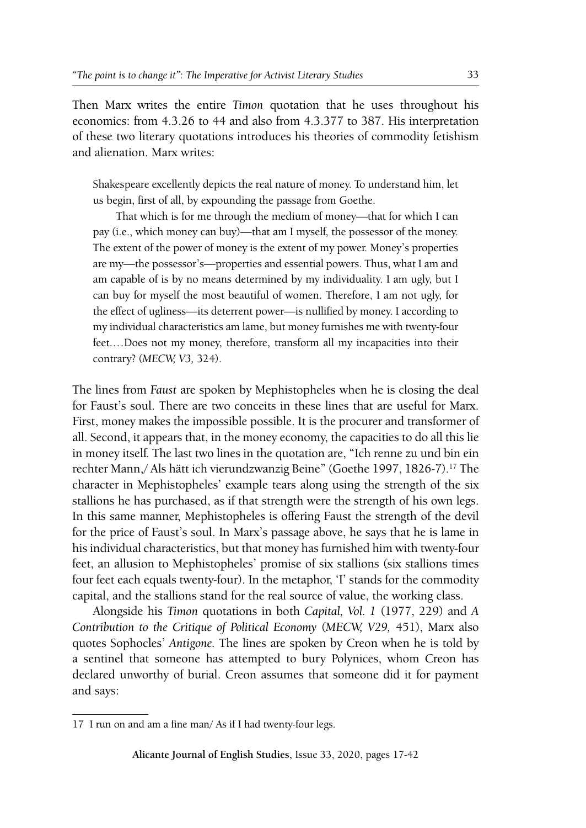Then Marx writes the entire *Timon* quotation that he uses throughout his economics: from 4.3.26 to 44 and also from 4.3.377 to 387. His interpretation of these two literary quotations introduces his theories of commodity fetishism and alienation. Marx writes:

Shakespeare excellently depicts the real nature of money. To understand him, let us begin, first of all, by expounding the passage from Goethe.

That which is for me through the medium of money—that for which I can pay (i.e., which money can buy)—that am I myself, the possessor of the money. The extent of the power of money is the extent of my power. Money's properties are my—the possessor's—properties and essential powers. Thus, what I am and am capable of is by no means determined by my individuality. I am ugly, but I can buy for myself the most beautiful of women. Therefore, I am not ugly, for the effect of ugliness—its deterrent power—is nullified by money. I according to my individual characteristics am lame, but money furnishes me with twenty-four feet.…Does not my money, therefore, transform all my incapacities into their contrary? (*MECW, V3,* 324).

The lines from *Faust* are spoken by Mephistopheles when he is closing the deal for Faust's soul. There are two conceits in these lines that are useful for Marx. First, money makes the impossible possible. It is the procurer and transformer of all. Second, it appears that, in the money economy, the capacities to do all this lie in money itself. The last two lines in the quotation are, "Ich renne zu und bin ein rechter Mann,/ Als hätt ich vierundzwanzig Beine" (Goethe 1997, 1826-7).17 The character in Mephistopheles' example tears along using the strength of the six stallions he has purchased, as if that strength were the strength of his own legs. In this same manner, Mephistopheles is offering Faust the strength of the devil for the price of Faust's soul. In Marx's passage above, he says that he is lame in his individual characteristics, but that money has furnished him with twenty-four feet, an allusion to Mephistopheles' promise of six stallions (six stallions times four feet each equals twenty-four). In the metaphor, 'I' stands for the commodity capital, and the stallions stand for the real source of value, the working class.

Alongside his *Timon* quotations in both *Capital, Vol. 1* (1977, 229) and *A Contribution to the Critique of Political Economy* (*MECW, V29,* 451), Marx also quotes Sophocles' *Antigone.* The lines are spoken by Creon when he is told by a sentinel that someone has attempted to bury Polynices, whom Creon has declared unworthy of burial. Creon assumes that someone did it for payment and says:

<sup>17</sup> I run on and am a fine man/ As if I had twenty-four legs.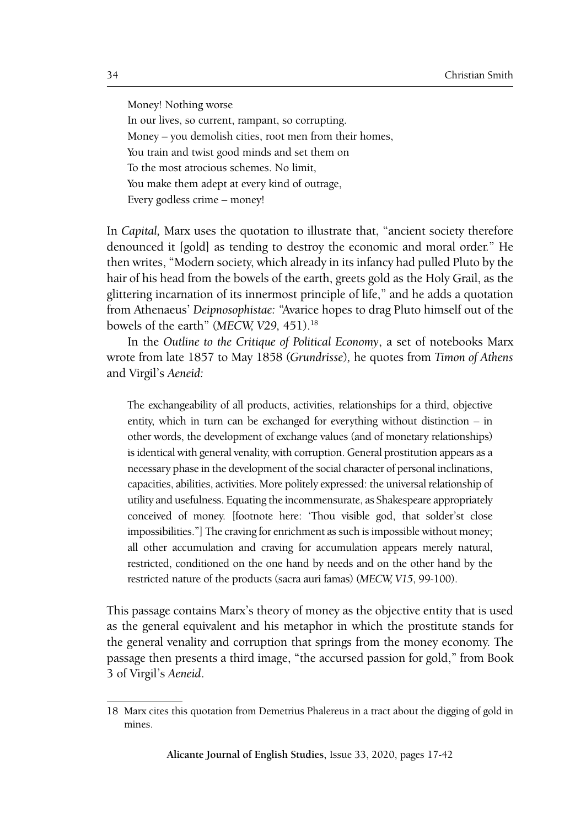Money! Nothing worse In our lives, so current, rampant, so corrupting. Money – you demolish cities, root men from their homes, You train and twist good minds and set them on To the most atrocious schemes. No limit, You make them adept at every kind of outrage, Every godless crime – money!

In *Capital,* Marx uses the quotation to illustrate that, "ancient society therefore denounced it [gold] as tending to destroy the economic and moral order." He then writes, "Modern society, which already in its infancy had pulled Pluto by the hair of his head from the bowels of the earth, greets gold as the Holy Grail, as the glittering incarnation of its innermost principle of life," and he adds a quotation from Athenaeus' *Deipnosophistae:* "Avarice hopes to drag Pluto himself out of the bowels of the earth" (*MECW, V29*, 451).<sup>18</sup>

In the *Outline to the Critique of Political Economy*, a set of notebooks Marx wrote from late 1857 to May 1858 (*Grundrisse*)*,* he quotes from *Timon of Athens* and Virgil's *Aeneid:*

The exchangeability of all products, activities, relationships for a third, objective entity, which in turn can be exchanged for everything without distinction – in other words, the development of exchange values (and of monetary relationships) is identical with general venality, with corruption. General prostitution appears as a necessary phase in the development of the social character of personal inclinations, capacities, abilities, activities. More politely expressed: the universal relationship of utility and usefulness. Equating the incommensurate, as Shakespeare appropriately conceived of money. [footnote here: 'Thou visible god, that solder'st close impossibilities."] The craving for enrichment as such is impossible without money; all other accumulation and craving for accumulation appears merely natural, restricted, conditioned on the one hand by needs and on the other hand by the restricted nature of the products (sacra auri famas) (*MECW, V15*, 99-100).

This passage contains Marx's theory of money as the objective entity that is used as the general equivalent and his metaphor in which the prostitute stands for the general venality and corruption that springs from the money economy. The passage then presents a third image, "the accursed passion for gold," from Book 3 of Virgil's *Aeneid*.

<sup>18</sup> Marx cites this quotation from Demetrius Phalereus in a tract about the digging of gold in mines.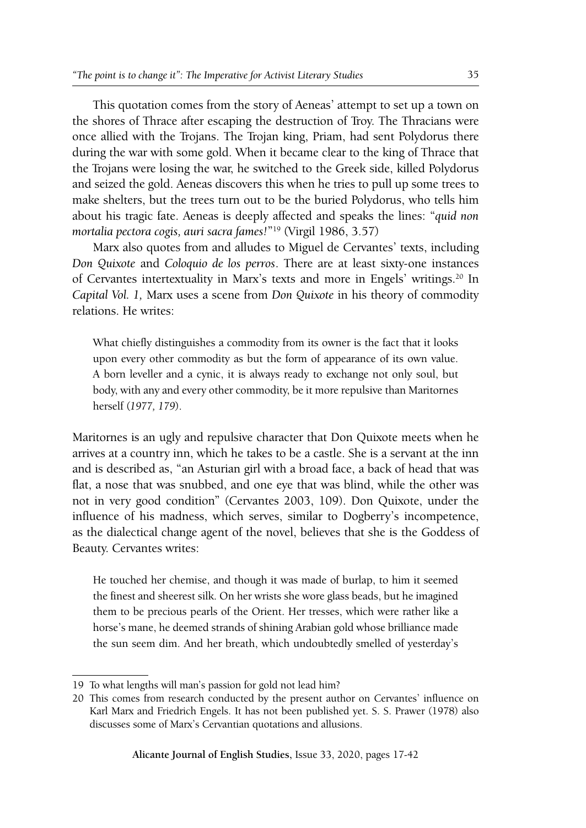This quotation comes from the story of Aeneas' attempt to set up a town on the shores of Thrace after escaping the destruction of Troy. The Thracians were once allied with the Trojans. The Trojan king, Priam, had sent Polydorus there during the war with some gold. When it became clear to the king of Thrace that the Trojans were losing the war, he switched to the Greek side, killed Polydorus and seized the gold. Aeneas discovers this when he tries to pull up some trees to make shelters, but the trees turn out to be the buried Polydorus, who tells him about his tragic fate. Aeneas is deeply affected and speaks the lines: "*quid non mortalia pectora cogis, auri sacra fames!*"19 (Virgil 1986, 3.57)

Marx also quotes from and alludes to Miguel de Cervantes' texts, including *Don Quixote* and *Coloquio de los perros*. There are at least sixty-one instances of Cervantes intertextuality in Marx's texts and more in Engels' writings.<sup>20</sup> In *Capital Vol. 1,* Marx uses a scene from *Don Quixote* in his theory of commodity relations. He writes:

What chiefly distinguishes a commodity from its owner is the fact that it looks upon every other commodity as but the form of appearance of its own value. A born leveller and a cynic, it is always ready to exchange not only soul, but body, with any and every other commodity, be it more repulsive than Maritornes herself (*1977, 179*).

Maritornes is an ugly and repulsive character that Don Quixote meets when he arrives at a country inn, which he takes to be a castle. She is a servant at the inn and is described as, "an Asturian girl with a broad face, a back of head that was flat, a nose that was snubbed, and one eye that was blind, while the other was not in very good condition" (Cervantes 2003, 109). Don Quixote, under the influence of his madness, which serves, similar to Dogberry's incompetence, as the dialectical change agent of the novel, believes that she is the Goddess of Beauty. Cervantes writes:

He touched her chemise, and though it was made of burlap, to him it seemed the finest and sheerest silk. On her wrists she wore glass beads, but he imagined them to be precious pearls of the Orient. Her tresses, which were rather like a horse's mane, he deemed strands of shining Arabian gold whose brilliance made the sun seem dim. And her breath, which undoubtedly smelled of yesterday's

<sup>19</sup> To what lengths will man's passion for gold not lead him?

<sup>20</sup> This comes from research conducted by the present author on Cervantes' influence on Karl Marx and Friedrich Engels. It has not been published yet. S. S. Prawer (1978) also discusses some of Marx's Cervantian quotations and allusions.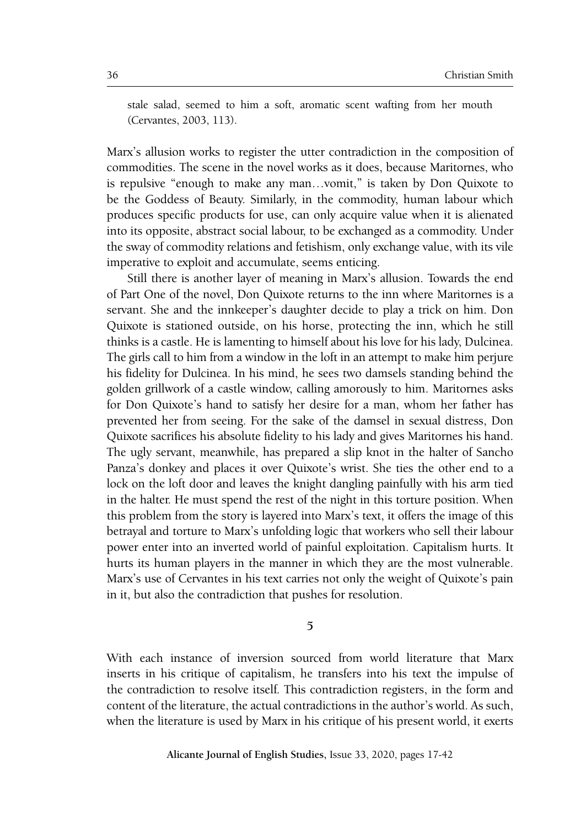stale salad, seemed to him a soft, aromatic scent wafting from her mouth (Cervantes, 2003, 113).

Marx's allusion works to register the utter contradiction in the composition of commodities. The scene in the novel works as it does, because Maritornes, who is repulsive "enough to make any man…vomit," is taken by Don Quixote to be the Goddess of Beauty. Similarly, in the commodity, human labour which produces specific products for use, can only acquire value when it is alienated into its opposite, abstract social labour, to be exchanged as a commodity. Under the sway of commodity relations and fetishism, only exchange value, with its vile imperative to exploit and accumulate, seems enticing.

Still there is another layer of meaning in Marx's allusion. Towards the end of Part One of the novel, Don Quixote returns to the inn where Maritornes is a servant. She and the innkeeper's daughter decide to play a trick on him. Don Quixote is stationed outside, on his horse, protecting the inn, which he still thinks is a castle. He is lamenting to himself about his love for his lady, Dulcinea. The girls call to him from a window in the loft in an attempt to make him perjure his fidelity for Dulcinea. In his mind, he sees two damsels standing behind the golden grillwork of a castle window, calling amorously to him. Maritornes asks for Don Quixote's hand to satisfy her desire for a man, whom her father has prevented her from seeing. For the sake of the damsel in sexual distress, Don Quixote sacrifices his absolute fidelity to his lady and gives Maritornes his hand. The ugly servant, meanwhile, has prepared a slip knot in the halter of Sancho Panza's donkey and places it over Quixote's wrist. She ties the other end to a lock on the loft door and leaves the knight dangling painfully with his arm tied in the halter. He must spend the rest of the night in this torture position. When this problem from the story is layered into Marx's text, it offers the image of this betrayal and torture to Marx's unfolding logic that workers who sell their labour power enter into an inverted world of painful exploitation. Capitalism hurts. It hurts its human players in the manner in which they are the most vulnerable. Marx's use of Cervantes in his text carries not only the weight of Quixote's pain in it, but also the contradiction that pushes for resolution.

**5**

With each instance of inversion sourced from world literature that Marx inserts in his critique of capitalism, he transfers into his text the impulse of the contradiction to resolve itself. This contradiction registers, in the form and content of the literature, the actual contradictions in the author's world. As such, when the literature is used by Marx in his critique of his present world, it exerts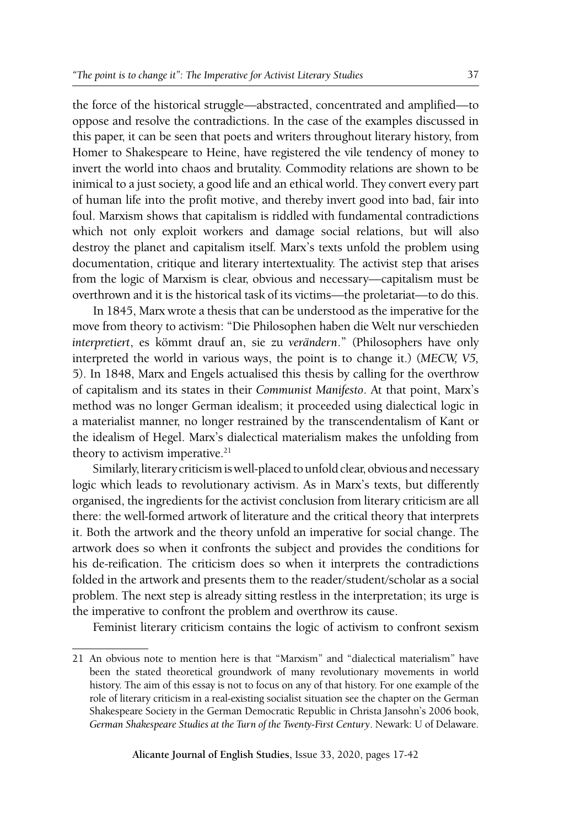the force of the historical struggle—abstracted, concentrated and amplified—to oppose and resolve the contradictions. In the case of the examples discussed in this paper, it can be seen that poets and writers throughout literary history, from Homer to Shakespeare to Heine, have registered the vile tendency of money to invert the world into chaos and brutality. Commodity relations are shown to be inimical to a just society, a good life and an ethical world. They convert every part of human life into the profit motive, and thereby invert good into bad, fair into foul. Marxism shows that capitalism is riddled with fundamental contradictions which not only exploit workers and damage social relations, but will also destroy the planet and capitalism itself. Marx's texts unfold the problem using documentation, critique and literary intertextuality. The activist step that arises from the logic of Marxism is clear, obvious and necessary—capitalism must be overthrown and it is the historical task of its victims—the proletariat—to do this.

In 1845, Marx wrote a thesis that can be understood as the imperative for the move from theory to activism: "Die Philosophen haben die Welt nur verschieden *interpretiert*, es kömmt drauf an, sie zu *verändern*." (Philosophers have only interpreted the world in various ways, the point is to change it.) (*MECW, V5,* 5). In 1848, Marx and Engels actualised this thesis by calling for the overthrow of capitalism and its states in their *Communist Manifesto*. At that point, Marx's method was no longer German idealism; it proceeded using dialectical logic in a materialist manner, no longer restrained by the transcendentalism of Kant or the idealism of Hegel. Marx's dialectical materialism makes the unfolding from theory to activism imperative.<sup>21</sup>

Similarly, literary criticism is well-placed to unfold clear, obvious and necessary logic which leads to revolutionary activism. As in Marx's texts, but differently organised, the ingredients for the activist conclusion from literary criticism are all there: the well-formed artwork of literature and the critical theory that interprets it. Both the artwork and the theory unfold an imperative for social change. The artwork does so when it confronts the subject and provides the conditions for his de-reification. The criticism does so when it interprets the contradictions folded in the artwork and presents them to the reader/student/scholar as a social problem. The next step is already sitting restless in the interpretation; its urge is the imperative to confront the problem and overthrow its cause.

Feminist literary criticism contains the logic of activism to confront sexism

<sup>21</sup> An obvious note to mention here is that "Marxism" and "dialectical materialism" have been the stated theoretical groundwork of many revolutionary movements in world history. The aim of this essay is not to focus on any of that history. For one example of the role of literary criticism in a real-existing socialist situation see the chapter on the German Shakespeare Society in the German Democratic Republic in Christa Jansohn's 2006 book, *German Shakespeare Studies at the Turn of the Twenty-First Century*. Newark: U of Delaware.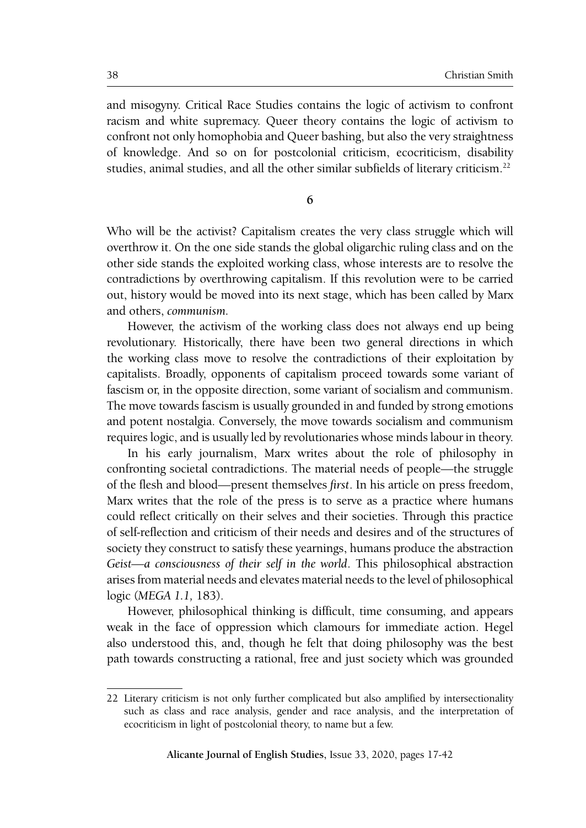and misogyny. Critical Race Studies contains the logic of activism to confront racism and white supremacy. Queer theory contains the logic of activism to confront not only homophobia and Queer bashing, but also the very straightness of knowledge. And so on for postcolonial criticism, ecocriticism, disability studies, animal studies, and all the other similar subfields of literary criticism.<sup>22</sup>

**6**

Who will be the activist? Capitalism creates the very class struggle which will overthrow it. On the one side stands the global oligarchic ruling class and on the other side stands the exploited working class, whose interests are to resolve the contradictions by overthrowing capitalism. If this revolution were to be carried out, history would be moved into its next stage, which has been called by Marx and others, *communism.*

However, the activism of the working class does not always end up being revolutionary. Historically, there have been two general directions in which the working class move to resolve the contradictions of their exploitation by capitalists. Broadly, opponents of capitalism proceed towards some variant of fascism or, in the opposite direction, some variant of socialism and communism. The move towards fascism is usually grounded in and funded by strong emotions and potent nostalgia. Conversely, the move towards socialism and communism requires logic, and is usually led by revolutionaries whose minds labour in theory.

In his early journalism, Marx writes about the role of philosophy in confronting societal contradictions. The material needs of people—the struggle of the flesh and blood—present themselves *first*. In his article on press freedom, Marx writes that the role of the press is to serve as a practice where humans could reflect critically on their selves and their societies. Through this practice of self-reflection and criticism of their needs and desires and of the structures of society they construct to satisfy these yearnings, humans produce the abstraction *Geist—a consciousness of their self in the world*. This philosophical abstraction arises from material needs and elevates material needs to the level of philosophical logic (*MEGA 1.1,* 183).

However, philosophical thinking is difficult, time consuming, and appears weak in the face of oppression which clamours for immediate action. Hegel also understood this, and, though he felt that doing philosophy was the best path towards constructing a rational, free and just society which was grounded

<sup>22</sup> Literary criticism is not only further complicated but also amplified by intersectionality such as class and race analysis, gender and race analysis, and the interpretation of ecocriticism in light of postcolonial theory, to name but a few.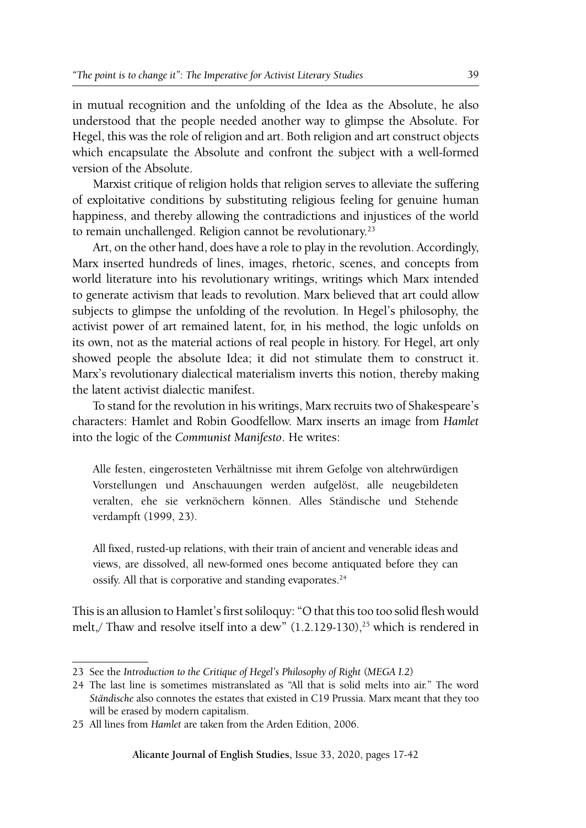in mutual recognition and the unfolding of the Idea as the Absolute, he also understood that the people needed another way to glimpse the Absolute. For Hegel, this was the role of religion and art. Both religion and art construct objects which encapsulate the Absolute and confront the subject with a well-formed version of the Absolute.

Marxist critique of religion holds that religion serves to alleviate the suffering of exploitative conditions by substituting religious feeling for genuine human happiness, and thereby allowing the contradictions and injustices of the world to remain unchallenged. Religion cannot be revolutionary.<sup>23</sup>

Art, on the other hand, does have a role to play in the revolution. Accordingly, Marx inserted hundreds of lines, images, rhetoric, scenes, and concepts from world literature into his revolutionary writings, writings which Marx intended to generate activism that leads to revolution. Marx believed that art could allow subjects to glimpse the unfolding of the revolution. In Hegel's philosophy, the activist power of art remained latent, for, in his method, the logic unfolds on its own, not as the material actions of real people in history. For Hegel, art only showed people the absolute Idea; it did not stimulate them to construct it. Marx's revolutionary dialectical materialism inverts this notion, thereby making the latent activist dialectic manifest.

To stand for the revolution in his writings, Marx recruits two of Shakespeare's characters: Hamlet and Robin Goodfellow. Marx inserts an image from *Hamlet* into the logic of the *Communist Manifesto*. He writes:

Alle festen, eingerosteten Verhältnisse mit ihrem Gefolge von altehrwürdigen Vorstellungen und Anschauungen werden aufgelöst, alle neugebildeten veralten, ehe sie verknöchern können. Alles Ständische und Stehende verdampft (1999, 23).

All fixed, rusted-up relations, with their train of ancient and venerable ideas and views, are dissolved, all new-formed ones become antiquated before they can ossify. All that is corporative and standing evaporates.<sup>24</sup>

This is an allusion to Hamlet's first soliloquy: "O that this too too solid flesh would melt,/ Thaw and resolve itself into a dew"  $(1.2.129-130)^{25}$  which is rendered in

<sup>23</sup> See the *Introduction to the Critique of Hegel's Philosophy of Right* (*MEGA I.2*)

<sup>24</sup> The last line is sometimes mistranslated as "All that is solid melts into air." The word *Ständische* also connotes the estates that existed in C19 Prussia. Marx meant that they too will be erased by modern capitalism.

<sup>25</sup> All lines from *Hamlet* are taken from the Arden Edition, 2006.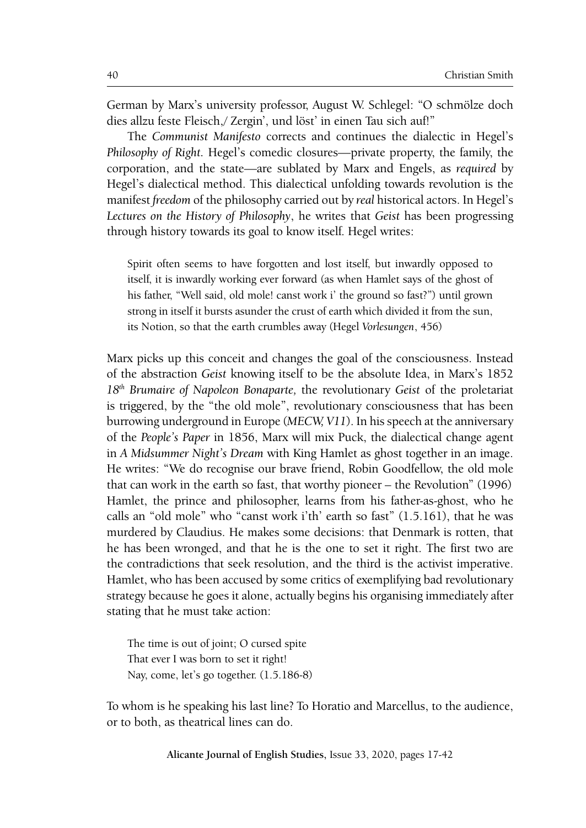German by Marx's university professor, August W. Schlegel: "O schmölze doch dies allzu feste Fleisch,/ Zergin', und löst' in einen Tau sich auf!"

The *Communist Manifesto* corrects and continues the dialectic in Hegel's *Philosophy of Right.* Hegel's comedic closures—private property, the family, the corporation, and the state—are sublated by Marx and Engels, as *required* by Hegel's dialectical method. This dialectical unfolding towards revolution is the manifest *freedom* of the philosophy carried out by *real* historical actors. In Hegel's *Lectures on the History of Philosophy*, he writes that *Geist* has been progressing through history towards its goal to know itself. Hegel writes:

Spirit often seems to have forgotten and lost itself, but inwardly opposed to itself, it is inwardly working ever forward (as when Hamlet says of the ghost of his father, "Well said, old mole! canst work i' the ground so fast?") until grown strong in itself it bursts asunder the crust of earth which divided it from the sun, its Notion, so that the earth crumbles away (Hegel *Vorlesungen*, 456)

Marx picks up this conceit and changes the goal of the consciousness. Instead of the abstraction *Geist* knowing itself to be the absolute Idea, in Marx's 1852 *18th Brumaire of Napoleon Bonaparte,* the revolutionary *Geist* of the proletariat is triggered, by the "the old mole", revolutionary consciousness that has been burrowing underground in Europe (*MECW, V11*). In his speech at the anniversary of the *People's Paper* in 1856, Marx will mix Puck, the dialectical change agent in *A Midsummer Night's Dream* with King Hamlet as ghost together in an image. He writes: "We do recognise our brave friend, Robin Goodfellow, the old mole that can work in the earth so fast, that worthy pioneer – the Revolution" (1996) Hamlet, the prince and philosopher, learns from his father-as-ghost, who he calls an "old mole" who "canst work i'th' earth so fast" (1.5.161), that he was murdered by Claudius. He makes some decisions: that Denmark is rotten, that he has been wronged, and that he is the one to set it right. The first two are the contradictions that seek resolution, and the third is the activist imperative. Hamlet, who has been accused by some critics of exemplifying bad revolutionary strategy because he goes it alone, actually begins his organising immediately after stating that he must take action:

The time is out of joint; O cursed spite That ever I was born to set it right! Nay, come, let's go together. (1.5.186-8)

To whom is he speaking his last line? To Horatio and Marcellus, to the audience, or to both, as theatrical lines can do.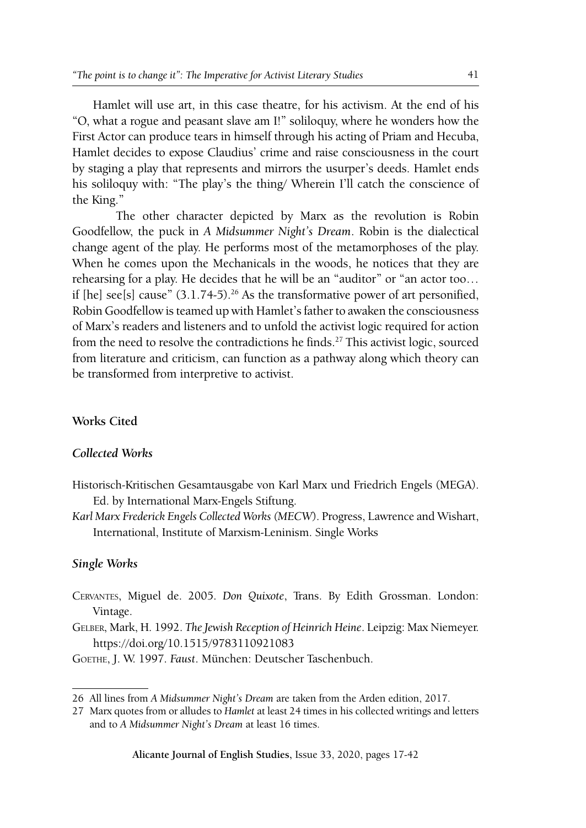Hamlet will use art, in this case theatre, for his activism. At the end of his "O, what a rogue and peasant slave am I!" soliloquy, where he wonders how the First Actor can produce tears in himself through his acting of Priam and Hecuba, Hamlet decides to expose Claudius' crime and raise consciousness in the court by staging a play that represents and mirrors the usurper's deeds. Hamlet ends his soliloquy with: "The play's the thing/ Wherein I'll catch the conscience of the King."

The other character depicted by Marx as the revolution is Robin Goodfellow, the puck in *A Midsummer Night's Dream*. Robin is the dialectical change agent of the play. He performs most of the metamorphoses of the play. When he comes upon the Mechanicals in the woods, he notices that they are rehearsing for a play. He decides that he will be an "auditor" or "an actor too… if  $[he]$  see $[s]$  cause"  $(3.1.74-5)$ .<sup>26</sup> As the transformative power of art personified, Robin Goodfellow is teamed up with Hamlet's father to awaken the consciousness of Marx's readers and listeners and to unfold the activist logic required for action from the need to resolve the contradictions he finds.27 This activist logic, sourced from literature and criticism, can function as a pathway along which theory can be transformed from interpretive to activist.

## **Works Cited**

## *Collected Works*

- Historisch-Kritischen Gesamtausgabe von Karl Marx und Friedrich Engels (MEGA). Ed. by International Marx-Engels Stiftung.
- *Karl Marx Frederick Engels Collected Works (MECW*). Progress, Lawrence and Wishart, International, Institute of Marxism-Leninism. Single Works

## *Single Works*

- Cervantes, Miguel de. 2005. *Don Quixote*, Trans. By Edith Grossman. London: Vintage.
- Gelber, Mark, H. 1992. *The Jewish Reception of Heinrich Heine*. Leipzig: Max Niemeyer. https://doi.org/10.1515/9783110921083
- Goethe, J. W. 1997. *Faust*. München: Deutscher Taschenbuch.

<sup>26</sup> All lines from *A Midsummer Night's Dream* are taken from the Arden edition, 2017.

<sup>27</sup> Marx quotes from or alludes to *Hamlet* at least 24 times in his collected writings and letters and to *A Midsummer Night's Dream* at least 16 times.